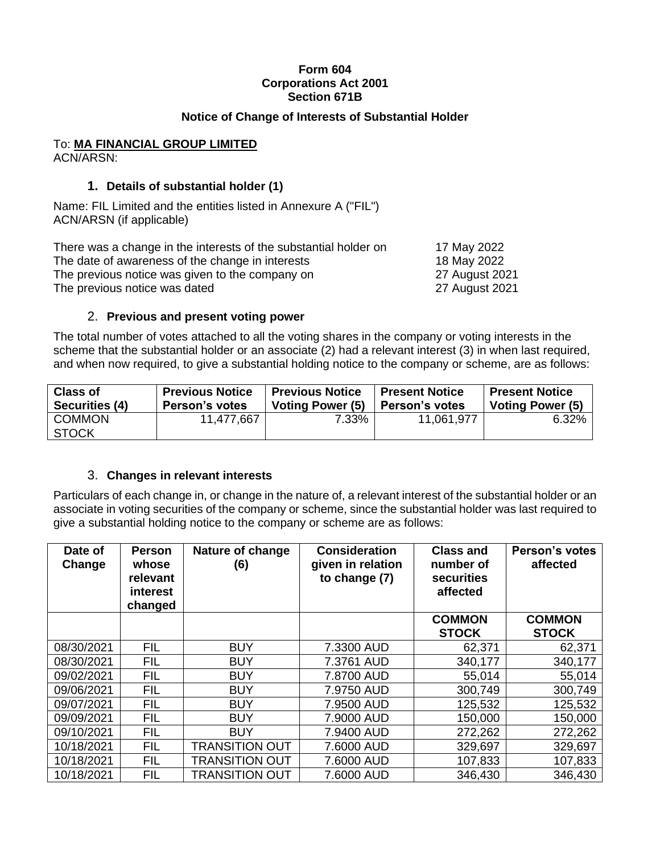#### **Form 604 Corporations Act 2001 Section 671B**

### **Notice of Change of Interests of Substantial Holder**

# To: **MA FINANCIAL GROUP LIMITED**

ACN/ARSN:

## **1. Details of substantial holder (1)**

Name: FIL Limited and the entities listed in Annexure A ("FIL") ACN/ARSN (if applicable)

| There was a change in the interests of the substantial holder on | 17 May 2022    |
|------------------------------------------------------------------|----------------|
| The date of awareness of the change in interests                 | 18 May 2022    |
| The previous notice was given to the company on                  | 27 August 2021 |
| The previous notice was dated                                    | 27 August 2021 |

### 2. **Previous and present voting power**

The total number of votes attached to all the voting shares in the company or voting interests in the scheme that the substantial holder or an associate (2) had a relevant interest (3) in when last required, and when now required, to give a substantial holding notice to the company or scheme, are as follows:

| <b>Class of</b>               | <b>Previous Notice</b> | <b>Previous Notice</b>  | <b>Present Notice</b> | <b>Present Notice</b>   |
|-------------------------------|------------------------|-------------------------|-----------------------|-------------------------|
| Securities (4)                | Person's votes         | <b>Voting Power (5)</b> | ∣ Person's votes      | <b>Voting Power (5)</b> |
| <b>COMMON</b><br><b>STOCK</b> | 11,477,667             | 7.33%                   | 11,061,977            | $6.32\%$                |

### 3. **Changes in relevant interests**

Particulars of each change in, or change in the nature of, a relevant interest of the substantial holder or an associate in voting securities of the company or scheme, since the substantial holder was last required to give a substantial holding notice to the company or scheme are as follows:

| Date of<br>Change | <b>Person</b><br>whose<br>relevant<br>interest<br>changed | <b>Consideration</b><br>Nature of change<br>given in relation<br>(6)<br>to change (7) |            | <b>Class and</b><br>number of<br><b>securities</b><br>affected | <b>Person's votes</b><br>affected |
|-------------------|-----------------------------------------------------------|---------------------------------------------------------------------------------------|------------|----------------------------------------------------------------|-----------------------------------|
|                   |                                                           |                                                                                       |            | <b>COMMON</b><br><b>STOCK</b>                                  | <b>COMMON</b><br><b>STOCK</b>     |
| 08/30/2021        | <b>FIL</b>                                                | <b>BUY</b>                                                                            | 7.3300 AUD | 62,371                                                         | 62,371                            |
| 08/30/2021        | <b>FIL</b>                                                | <b>BUY</b>                                                                            | 7.3761 AUD | 340,177                                                        | 340,177                           |
| 09/02/2021        | <b>FIL</b>                                                | <b>BUY</b>                                                                            | 7.8700 AUD | 55,014                                                         | 55,014                            |
| 09/06/2021        | <b>FIL</b>                                                | <b>BUY</b>                                                                            | 7.9750 AUD | 300,749                                                        | 300,749                           |
| 09/07/2021        | <b>FIL</b>                                                | <b>BUY</b>                                                                            | 7.9500 AUD | 125,532                                                        | 125,532                           |
| 09/09/2021        | <b>FIL</b>                                                | <b>BUY</b>                                                                            | 7.9000 AUD | 150,000                                                        | 150,000                           |
| 09/10/2021        | <b>FIL</b>                                                | <b>BUY</b>                                                                            | 7.9400 AUD | 272,262                                                        | 272,262                           |
| 10/18/2021        | <b>FIL</b>                                                | <b>TRANSITION OUT</b>                                                                 | 7.6000 AUD | 329,697                                                        | 329,697                           |
| 10/18/2021        | <b>FIL</b>                                                | TRANSITION OUT                                                                        | 7.6000 AUD | 107,833                                                        | 107,833                           |
| 10/18/2021        | <b>FIL</b>                                                | TRANSITION OUT                                                                        | 7.6000 AUD | 346,430                                                        | 346,430                           |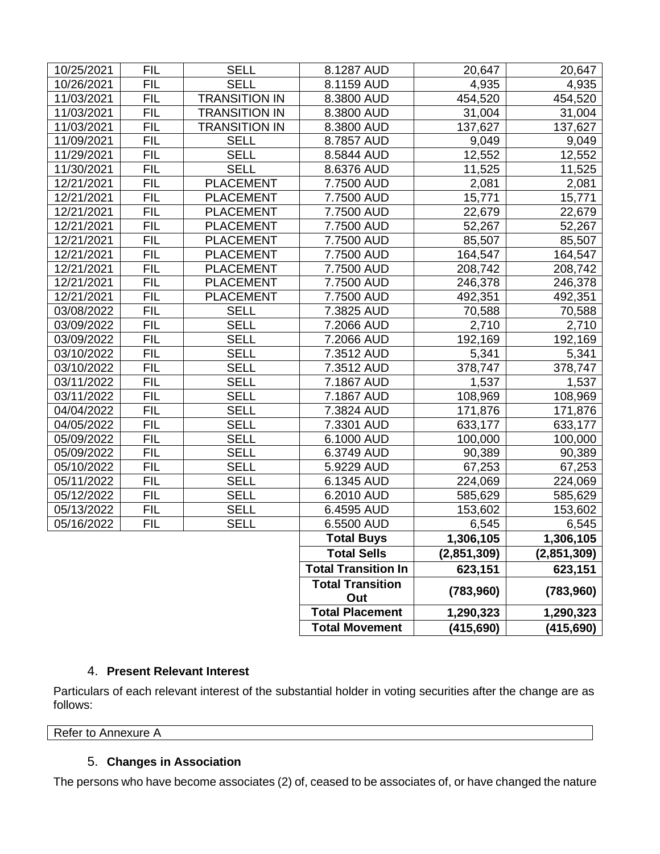|            |            |                      | <b>Total Movement</b>      | (415, 690)      | (415, 690)      |
|------------|------------|----------------------|----------------------------|-----------------|-----------------|
|            |            |                      | <b>Total Placement</b>     | 1,290,323       | 1,290,323       |
|            |            | Out                  | (783,960)                  | (783,960)       |                 |
|            |            |                      | <b>Total Transition</b>    |                 |                 |
|            |            |                      | <b>Total Transition In</b> | 623,151         | 623,151         |
|            |            |                      | <b>Total Sells</b>         | (2,851,309)     | (2,851,309)     |
|            |            |                      | <b>Total Buys</b>          | 1,306,105       | 1,306,105       |
| 05/16/2022 | <b>FIL</b> | <b>SELL</b>          | 6.5500 AUD                 | 6,545           | 6,545           |
| 05/13/2022 | <b>FIL</b> | <b>SELL</b>          | 6.4595 AUD                 | 153,602         | 153,602         |
| 05/12/2022 | <b>FIL</b> | <b>SELL</b>          | 6.2010 AUD                 | 585,629         | 585,629         |
| 05/11/2022 | <b>FIL</b> | <b>SELL</b>          | 6.1345 AUD                 | 224,069         | 224,069         |
| 05/10/2022 | <b>FIL</b> | <b>SELL</b>          | 5.9229 AUD                 | 67,253          | 67,253          |
| 05/09/2022 | <b>FIL</b> | <b>SELL</b>          | 6.3749 AUD                 | 90,389          | 90,389          |
| 05/09/2022 | <b>FIL</b> | <b>SELL</b>          | 6.1000 AUD                 | 100,000         | 100,000         |
| 04/05/2022 | <b>FIL</b> | <b>SELL</b>          | 7.3301 AUD                 | 633,177         | 633,177         |
| 04/04/2022 | <b>FIL</b> | <b>SELL</b>          | 7.3824 AUD                 | 171,876         | 171,876         |
| 03/11/2022 | <b>FIL</b> | <b>SELL</b>          | 7.1867 AUD                 | 108,969         | 108,969         |
| 03/11/2022 | <b>FIL</b> | <b>SELL</b>          | 7.1867 AUD                 | 1,537           | 1,537           |
| 03/10/2022 | <b>FIL</b> | <b>SELL</b>          | 7.3512 AUD                 | 378,747         | 378,747         |
| 03/10/2022 | <b>FIL</b> | <b>SELL</b>          | 7.3512 AUD                 | 5,341           | 5,341           |
| 03/09/2022 | <b>FIL</b> | <b>SELL</b>          | 7.2066 AUD                 | 192,169         | 192,169         |
| 03/09/2022 | <b>FIL</b> | <b>SELL</b>          | 7.2066 AUD                 | 2,710           | 2,710           |
| 03/08/2022 | <b>FIL</b> | <b>SELL</b>          | 7.3825 AUD                 | 70,588          | 70,588          |
| 12/21/2021 | <b>FIL</b> | <b>PLACEMENT</b>     | 7.7500 AUD                 | 492,351         | 492,351         |
| 12/21/2021 | <b>FIL</b> | <b>PLACEMENT</b>     | 7.7500 AUD                 | 246,378         | 246,378         |
| 12/21/2021 | <b>FIL</b> | <b>PLACEMENT</b>     | 7.7500 AUD                 | 208,742         | 208,742         |
| 12/21/2021 | <b>FIL</b> | <b>PLACEMENT</b>     | 7.7500 AUD                 | 164,547         | 164,547         |
| 12/21/2021 | <b>FIL</b> | <b>PLACEMENT</b>     | 7.7500 AUD                 | 85,507          | 85,507          |
| 12/21/2021 | <b>FIL</b> | <b>PLACEMENT</b>     | 7.7500 AUD                 | 52,267          | 52,267          |
| 12/21/2021 | <b>FIL</b> | <b>PLACEMENT</b>     | 7.7500 AUD                 | 22,679          | 22,679          |
| 12/21/2021 | <b>FIL</b> | <b>PLACEMENT</b>     | 7.7500 AUD                 | 15,771          | 15,771          |
| 12/21/2021 | <b>FIL</b> | <b>PLACEMENT</b>     | 7.7500 AUD                 | 2,081           | 2,081           |
| 11/30/2021 | <b>FIL</b> | <b>SELL</b>          | 8.6376 AUD                 | 11,525          | 11,525          |
| 11/29/2021 | <b>FIL</b> | <b>SELL</b>          | 8.5844 AUD                 | 12,552          | 12,552          |
| 11/09/2021 | <b>FIL</b> | <b>SELL</b>          | 8.7857 AUD                 | 9,049           | 9,049           |
| 11/03/2021 | <b>FIL</b> | <b>TRANSITION IN</b> | 8.3800 AUD                 | 137,627         | 137,627         |
| 11/03/2021 | <b>FIL</b> | <b>TRANSITION IN</b> | 8.3800 AUD                 | 31,004          | 31,004          |
| 11/03/2021 | <b>FIL</b> | <b>TRANSITION IN</b> | 8.3800 AUD                 | 454,520         | 454,520         |
| 10/26/2021 | <b>FIL</b> | <b>SELL</b>          | 8.1159 AUD                 | 20,647<br>4,935 | 20,647<br>4,935 |
| 10/25/2021 | FIL        | <b>SELL</b>          | 8.1287 AUD                 |                 |                 |

### 4. **Present Relevant Interest**

Particulars of each relevant interest of the substantial holder in voting securities after the change are as follows:

Refer to Annexure A

# 5. **Changes in Association**

The persons who have become associates (2) of, ceased to be associates of, or have changed the nature